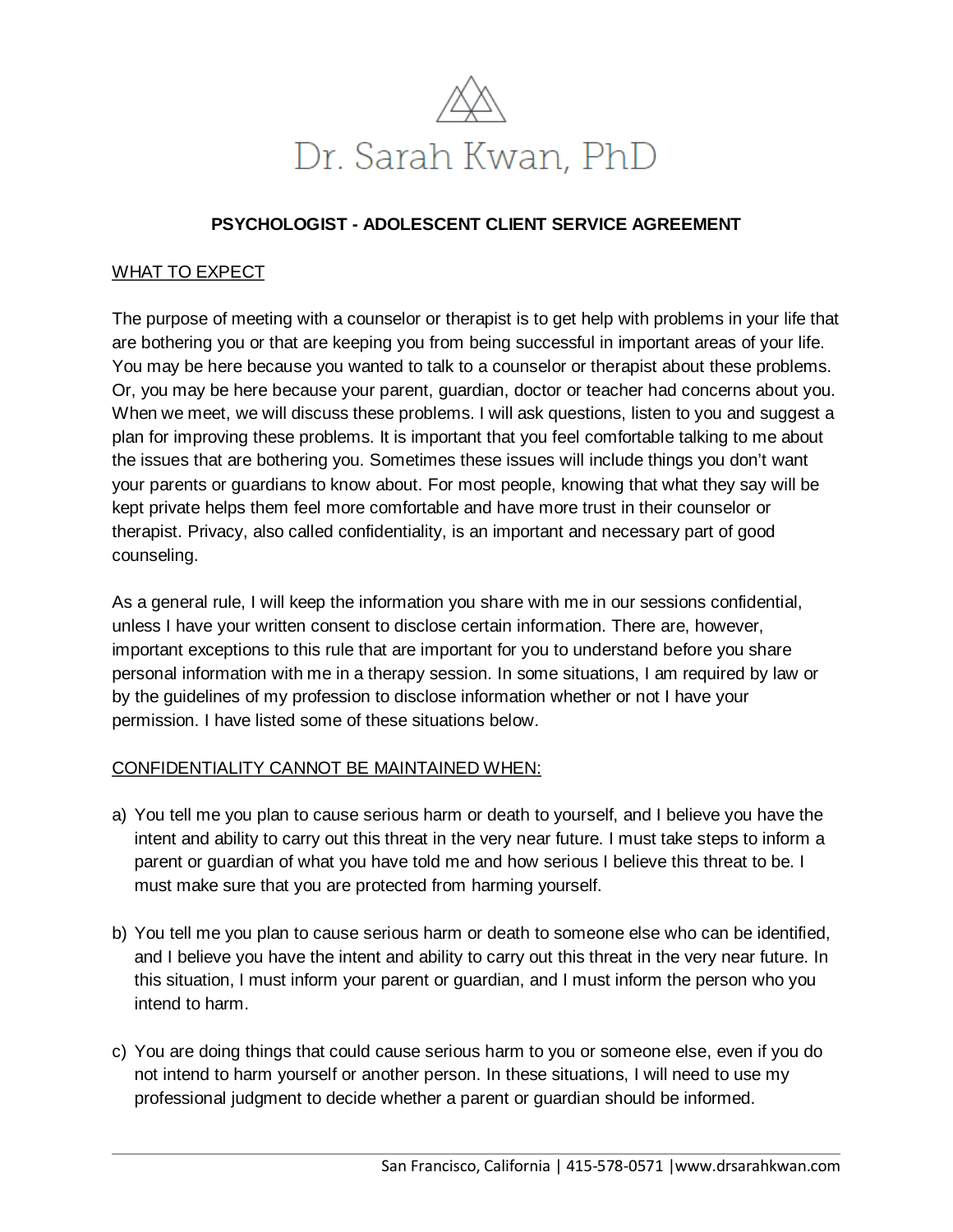

# **PSYCHOLOGIST - ADOLESCENT CLIENT SERVICE AGREEMENT**

## WHAT TO EXPECT

The purpose of meeting with a counselor or therapist is to get help with problems in your life that are bothering you or that are keeping you from being successful in important areas of your life. You may be here because you wanted to talk to a counselor or therapist about these problems. Or, you may be here because your parent, guardian, doctor or teacher had concerns about you. When we meet, we will discuss these problems. I will ask questions, listen to you and suggest a plan for improving these problems. It is important that you feel comfortable talking to me about the issues that are bothering you. Sometimes these issues will include things you don't want your parents or guardians to know about. For most people, knowing that what they say will be kept private helps them feel more comfortable and have more trust in their counselor or therapist. Privacy, also called confidentiality, is an important and necessary part of good counseling.

As a general rule, I will keep the information you share with me in our sessions confidential, unless I have your written consent to disclose certain information. There are, however, important exceptions to this rule that are important for you to understand before you share personal information with me in a therapy session. In some situations, I am required by law or by the guidelines of my profession to disclose information whether or not I have your permission. I have listed some of these situations below.

## CONFIDENTIALITY CANNOT BE MAINTAINED WHEN:

- a) You tell me you plan to cause serious harm or death to yourself, and I believe you have the intent and ability to carry out this threat in the very near future. I must take steps to inform a parent or guardian of what you have told me and how serious I believe this threat to be. I must make sure that you are protected from harming yourself.
- b) You tell me you plan to cause serious harm or death to someone else who can be identified, and I believe you have the intent and ability to carry out this threat in the very near future. In this situation, I must inform your parent or guardian, and I must inform the person who you intend to harm.
- c) You are doing things that could cause serious harm to you or someone else, even if you do not intend to harm yourself or another person. In these situations, I will need to use my professional judgment to decide whether a parent or guardian should be informed.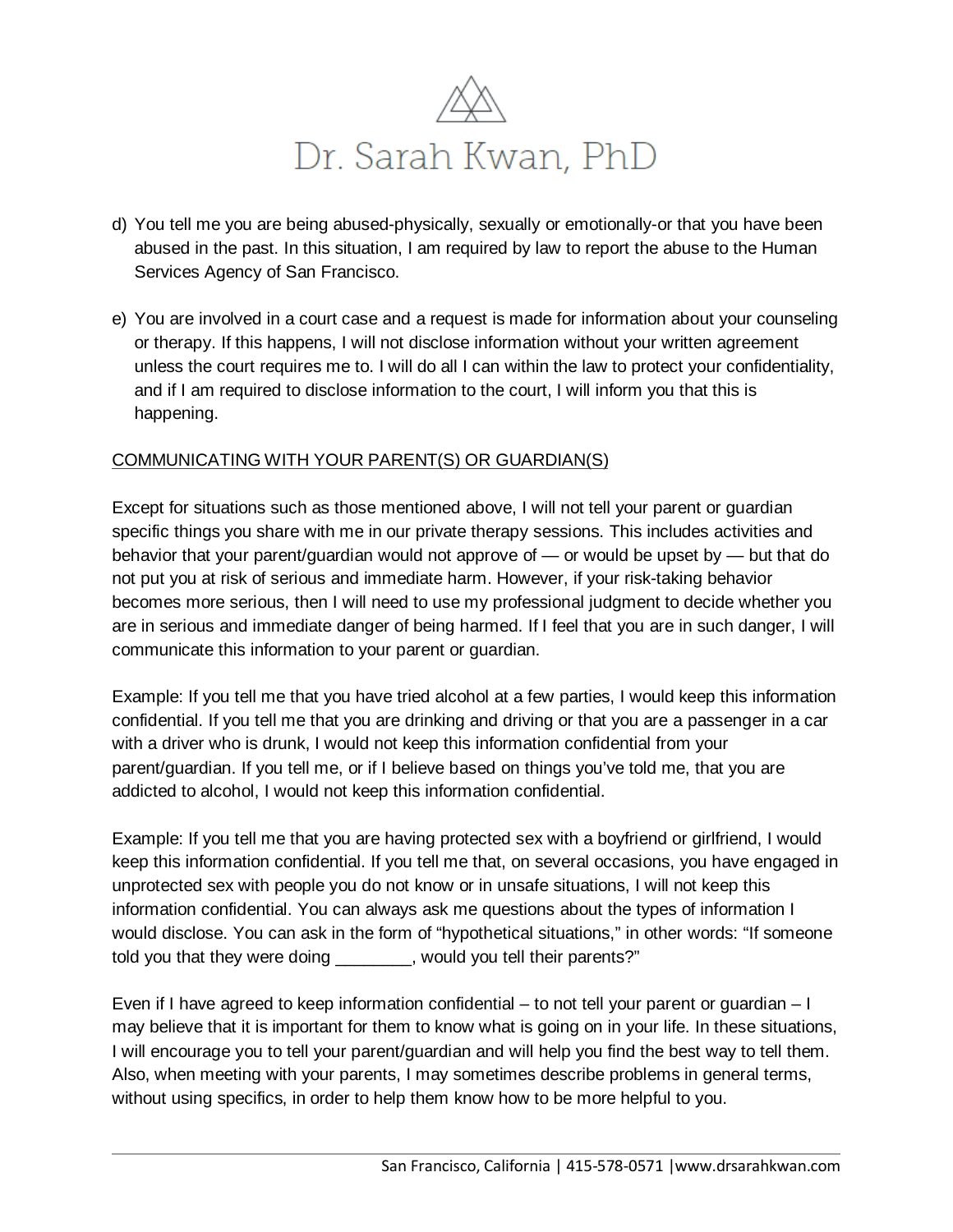

- d) You tell me you are being abused-physically, sexually or emotionally-or that you have been abused in the past. In this situation, I am required by law to report the abuse to the Human Services Agency of San Francisco.
- e) You are involved in a court case and a request is made for information about your counseling or therapy. If this happens, I will not disclose information without your written agreement unless the court requires me to. I will do all I can within the law to protect your confidentiality, and if I am required to disclose information to the court, I will inform you that this is happening.

## COMMUNICATING WITH YOUR PARENT(S) OR GUARDIAN(S)

Except for situations such as those mentioned above, I will not tell your parent or guardian specific things you share with me in our private therapy sessions. This includes activities and behavior that your parent/guardian would not approve of — or would be upset by — but that do not put you at risk of serious and immediate harm. However, if your risk-taking behavior becomes more serious, then I will need to use my professional judgment to decide whether you are in serious and immediate danger of being harmed. If I feel that you are in such danger, I will communicate this information to your parent or guardian.

Example: If you tell me that you have tried alcohol at a few parties, I would keep this information confidential. If you tell me that you are drinking and driving or that you are a passenger in a car with a driver who is drunk, I would not keep this information confidential from your parent/guardian. If you tell me, or if I believe based on things you've told me, that you are addicted to alcohol, I would not keep this information confidential.

Example: If you tell me that you are having protected sex with a boyfriend or girlfriend, I would keep this information confidential. If you tell me that, on several occasions, you have engaged in unprotected sex with people you do not know or in unsafe situations, I will not keep this information confidential. You can always ask me questions about the types of information I would disclose. You can ask in the form of "hypothetical situations," in other words: "If someone told you that they were doing \_\_\_\_\_\_\_\_, would you tell their parents?"

Even if I have agreed to keep information confidential – to not tell your parent or guardian – I may believe that it is important for them to know what is going on in your life. In these situations, I will encourage you to tell your parent/guardian and will help you find the best way to tell them. Also, when meeting with your parents, I may sometimes describe problems in general terms, without using specifics, in order to help them know how to be more helpful to you.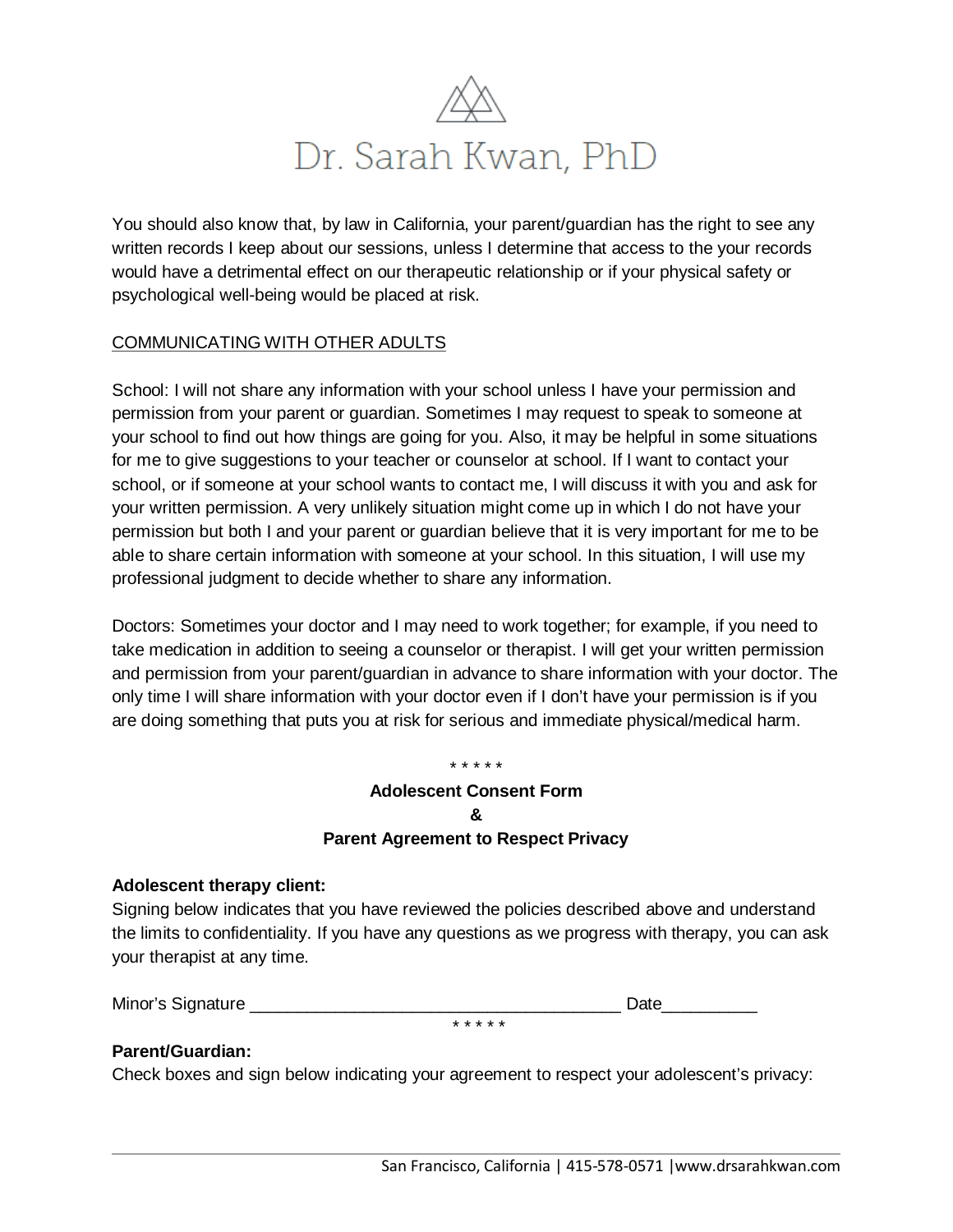

You should also know that, by law in California, your parent/guardian has the right to see any written records I keep about our sessions, unless I determine that access to the your records would have a detrimental effect on our therapeutic relationship or if your physical safety or psychological well-being would be placed at risk.

## COMMUNICATING WITH OTHER ADULTS

School: I will not share any information with your school unless I have your permission and permission from your parent or guardian. Sometimes I may request to speak to someone at your school to find out how things are going for you. Also, it may be helpful in some situations for me to give suggestions to your teacher or counselor at school. If I want to contact your school, or if someone at your school wants to contact me, I will discuss it with you and ask for your written permission. A very unlikely situation might come up in which I do not have your permission but both I and your parent or guardian believe that it is very important for me to be able to share certain information with someone at your school. In this situation, I will use my professional judgment to decide whether to share any information.

Doctors: Sometimes your doctor and I may need to work together; for example, if you need to take medication in addition to seeing a counselor or therapist. I will get your written permission and permission from your parent/guardian in advance to share information with your doctor. The only time I will share information with your doctor even if I don't have your permission is if you are doing something that puts you at risk for serious and immediate physical/medical harm.

#### \* \* \* \* \*

# **Adolescent Consent Form & Parent Agreement to Respect Privacy**

## **Adolescent therapy client:**

Signing below indicates that you have reviewed the policies described above and understand the limits to confidentiality. If you have any questions as we progress with therapy, you can ask your therapist at any time.

Minor's Signature **Example 20** and the set of the set of the set of the set of the set of the set of the set of the set of the set of the set of the set of the set of the set of the set of the set of the set of the set of

## **Parent/Guardian:**

Check boxes and sign below indicating your agreement to respect your adolescent's privacy:

\* \* \* \* \*